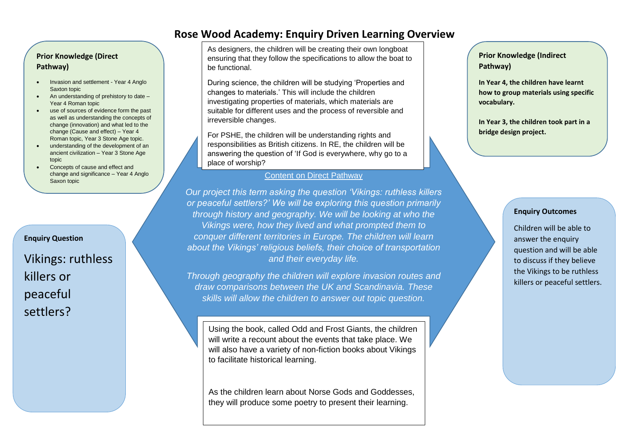### **Prior Knowledge (Direct Pathway)**

- Invasion and settlement Year 4 Anglo Saxton topic
- An understanding of prehistory to date Year 4 Roman topic
- use of sources of evidence form the past as well as understanding the concepts of change (innovation) and what led to the change (Cause and effect) – Year 4 Roman topic, Year 3 Stone Age topic.
- understanding of the development of an ancient civilization – Year 3 Stone Age topic
- Concepts of cause and effect and change and significance – Year 4 Anglo Saxon topic

### **Enquiry Question**

Vikings: ruthless killers or peaceful settlers?

As designers, the children will be creating their own longboat ensuring that they follow the specifications to allow the boat to be functional.

During science, the children will be studying 'Properties and changes to materials.' This will include the children investigating properties of materials, which materials are suitable for different uses and the process of reversible and irreversible changes.

For PSHE, the children will be understanding rights and responsibilities as British citizens. In RE, the children will be answering the question of 'If God is everywhere, why go to a place of worship?

### Content on Direct Pathway

*Our project this term asking the question 'Vikings: ruthless killers or peaceful settlers?' We will be exploring this question primarily through history and geography. We will be looking at who the Vikings were, how they lived and what prompted them to conquer different territories in Europe. The children will learn about the Vikings' religious beliefs, their choice of transportation and their everyday life.* 

*Through geography the children will explore invasion routes and draw comparisons between the UK and Scandinavia. These skills will allow the children to answer out topic question.*

Using the book, called Odd and Frost Giants, the children will write a recount about the events that take place. We will also have a variety of non-fiction books about Vikings to facilitate historical learning.

As the children learn about Norse Gods and Goddesses. they will produce some poetry to present their learning.

### **Prior Knowledge (Indirect Pathway)**

**In Year 4, the children have learnt how to group materials using specific vocabulary.** 

**In Year 3, the children took part in a bridge design project.**

### **Enquiry Outcomes**

Children will be able to answer the enquiry question and will be able to discuss if they believe the Vikings to be ruthless killers or peaceful settlers.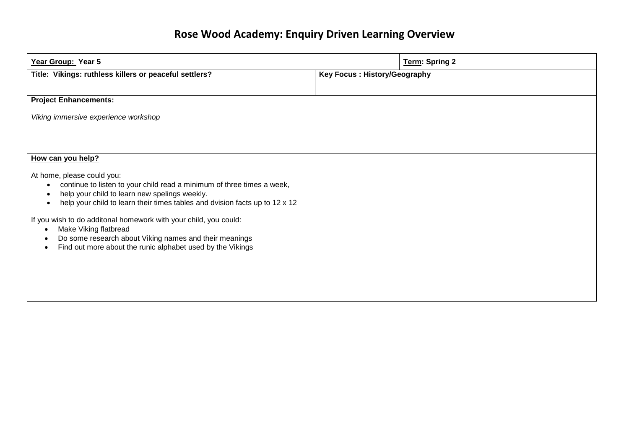| Year Group: Year 5                                                                                                                                                                                                                                                                                                                                                                                                                                                                                     |                                     | Term: Spring 2 |
|--------------------------------------------------------------------------------------------------------------------------------------------------------------------------------------------------------------------------------------------------------------------------------------------------------------------------------------------------------------------------------------------------------------------------------------------------------------------------------------------------------|-------------------------------------|----------------|
| Title: Vikings: ruthless killers or peaceful settlers?                                                                                                                                                                                                                                                                                                                                                                                                                                                 | <b>Key Focus: History/Geography</b> |                |
| <b>Project Enhancements:</b>                                                                                                                                                                                                                                                                                                                                                                                                                                                                           |                                     |                |
| Viking immersive experience workshop                                                                                                                                                                                                                                                                                                                                                                                                                                                                   |                                     |                |
|                                                                                                                                                                                                                                                                                                                                                                                                                                                                                                        |                                     |                |
| How can you help?                                                                                                                                                                                                                                                                                                                                                                                                                                                                                      |                                     |                |
| At home, please could you:<br>continue to listen to your child read a minimum of three times a week,<br>$\bullet$<br>help your child to learn new spelings weekly.<br>٠<br>help your child to learn their times tables and dvision facts up to 12 x 12<br>If you wish to do additonal homework with your child, you could:<br>Make Viking flatbread<br>$\epsilon$<br>Do some research about Viking names and their meanings<br>Find out more about the runic alphabet used by the Vikings<br>$\bullet$ |                                     |                |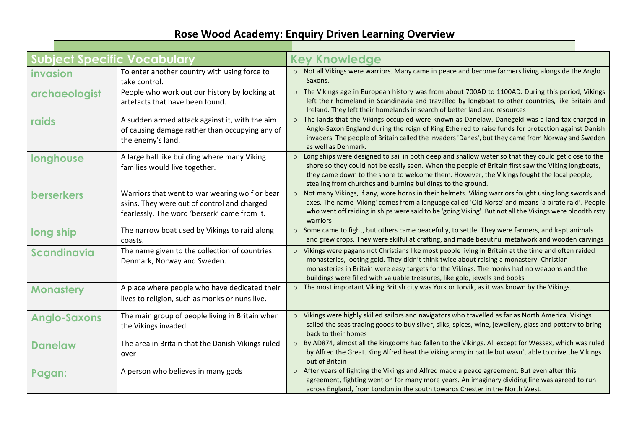| <b>Subject Specific Vocabulary</b> |                                                                                                                                               | <b>Key Knowledge</b>                                                                                                                                                                                                                                                                                                                                                                 |
|------------------------------------|-----------------------------------------------------------------------------------------------------------------------------------------------|--------------------------------------------------------------------------------------------------------------------------------------------------------------------------------------------------------------------------------------------------------------------------------------------------------------------------------------------------------------------------------------|
| invasion                           | To enter another country with using force to<br>take control.                                                                                 | o Not all Vikings were warriors. Many came in peace and become farmers living alongside the Anglo<br>Saxons.                                                                                                                                                                                                                                                                         |
| archaeologist                      | People who work out our history by looking at<br>artefacts that have been found.                                                              | o The Vikings age in European history was from about 700AD to 1100AD. During this period, Vikings<br>left their homeland in Scandinavia and travelled by longboat to other countries, like Britain and<br>Ireland. They left their homelands in search of better land and resources                                                                                                  |
| raids                              | A sudden armed attack against it, with the aim<br>of causing damage rather than occupying any of<br>the enemy's land.                         | The lands that the Vikings occupied were known as Danelaw. Danegeld was a land tax charged in<br>$\circ$<br>Anglo-Saxon England during the reign of King Ethelred to raise funds for protection against Danish<br>invaders. The people of Britain called the invaders 'Danes', but they came from Norway and Sweden<br>as well as Denmark.                                           |
| longhouse                          | A large hall like building where many Viking<br>families would live together.                                                                 | Long ships were designed to sail in both deep and shallow water so that they could get close to the<br>$\circ$<br>shore so they could not be easily seen. When the people of Britain first saw the Viking longboats,<br>they came down to the shore to welcome them. However, the Vikings fought the local people,<br>stealing from churches and burning buildings to the ground.    |
| <b>berserkers</b>                  | Warriors that went to war wearing wolf or bear<br>skins. They were out of control and charged<br>fearlessly. The word 'berserk' came from it. | Not many Vikings, if any, wore horns in their helmets. Viking warriors fought using long swords and<br>$\circ$<br>axes. The name 'Viking' comes from a language called 'Old Norse' and means 'a pirate raid'. People<br>who went off raiding in ships were said to be 'going Viking'. But not all the Vikings were bloodthirsty<br>warriors                                          |
| long ship                          | The narrow boat used by Vikings to raid along<br>coasts.                                                                                      | Some came to fight, but others came peacefully, to settle. They were farmers, and kept animals<br>$\circ$<br>and grew crops. They were skilful at crafting, and made beautiful metalwork and wooden carvings                                                                                                                                                                         |
| <b>Scandinavia</b>                 | The name given to the collection of countries:<br>Denmark, Norway and Sweden.                                                                 | Vikings were pagans not Christians like most people living in Britain at the time and often raided<br>$\circ$<br>monasteries, looting gold. They didn't think twice about raising a monastery. Christian<br>monasteries in Britain were easy targets for the Vikings. The monks had no weapons and the<br>buildings were filled with valuable treasures, like gold, jewels and books |
| <b>Monastery</b>                   | A place where people who have dedicated their<br>lives to religion, such as monks or nuns live.                                               | o The most important Viking British city was York or Jorvik, as it was known by the Vikings.                                                                                                                                                                                                                                                                                         |
| <b>Anglo-Saxons</b>                | The main group of people living in Britain when<br>the Vikings invaded                                                                        | Vikings were highly skilled sailors and navigators who travelled as far as North America. Vikings<br>$\circ$<br>sailed the seas trading goods to buy silver, silks, spices, wine, jewellery, glass and pottery to bring<br>back to their homes                                                                                                                                       |
| <b>Danelaw</b>                     | The area in Britain that the Danish Vikings ruled<br>over                                                                                     | By AD874, almost all the kingdoms had fallen to the Vikings. All except for Wessex, which was ruled<br>$\circ$<br>by Alfred the Great. King Alfred beat the Viking army in battle but wasn't able to drive the Vikings<br>out of Britain                                                                                                                                             |
| Pagan:                             | A person who believes in many gods                                                                                                            | After years of fighting the Vikings and Alfred made a peace agreement. But even after this<br>$\circ$<br>agreement, fighting went on for many more years. An imaginary dividing line was agreed to run<br>across England, from London in the south towards Chester in the North West.                                                                                                |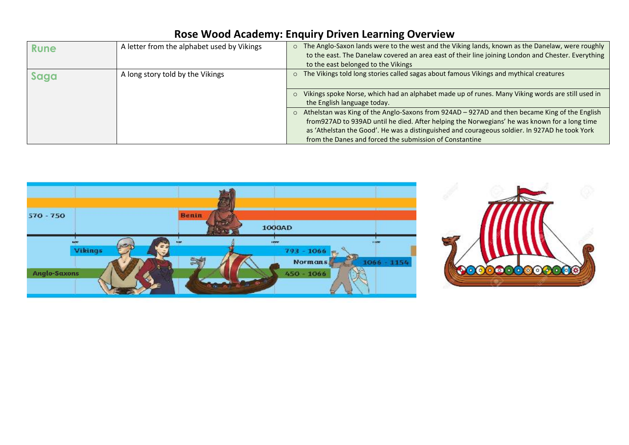| Rune | A letter from the alphabet used by Vikings | o The Anglo-Saxon lands were to the west and the Viking lands, known as the Danelaw, were roughly<br>to the east. The Danelaw covered an area east of their line joining London and Chester. Everything<br>to the east belonged to the Vikings                                                                                                                        |
|------|--------------------------------------------|-----------------------------------------------------------------------------------------------------------------------------------------------------------------------------------------------------------------------------------------------------------------------------------------------------------------------------------------------------------------------|
| Saga | A long story told by the Vikings           | The Vikings told long stories called sagas about famous Vikings and mythical creatures<br>$\circ$                                                                                                                                                                                                                                                                     |
|      |                                            | Vikings spoke Norse, which had an alphabet made up of runes. Many Viking words are still used in<br>$\Omega$<br>the English language today.                                                                                                                                                                                                                           |
|      |                                            | Athelstan was King of the Anglo-Saxons from 924AD - 927AD and then became King of the English<br>$\circ$<br>from 927AD to 939AD until he died. After helping the Norwegians' he was known for a long time<br>as 'Athelstan the Good'. He was a distinguished and courageous soldier. In 927AD he took York<br>from the Danes and forced the submission of Constantine |